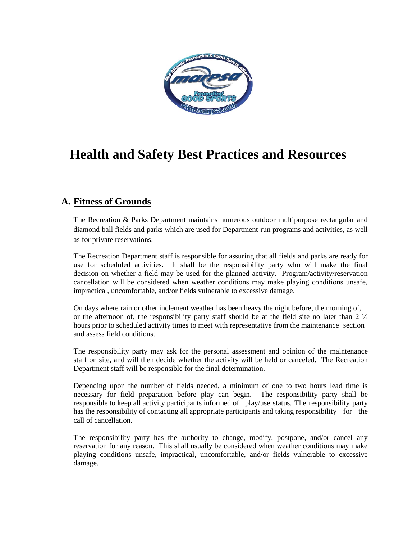

# **Health and Safety Best Practices and Resources**

## **A. Fitness of Grounds**

The Recreation & Parks Department maintains numerous outdoor multipurpose rectangular and diamond ball fields and parks which are used for Department-run programs and activities, as well as for private reservations.

The Recreation Department staff is responsible for assuring that all fields and parks are ready for use for scheduled activities. It shall be the responsibility party who will make the final decision on whether a field may be used for the planned activity. Program/activity/reservation cancellation will be considered when weather conditions may make playing conditions unsafe, impractical, uncomfortable, and/or fields vulnerable to excessive damage.

On days where rain or other inclement weather has been heavy the night before, the morning of, or the afternoon of, the responsibility party staff should be at the field site no later than  $2 \frac{1}{2}$ hours prior to scheduled activity times to meet with representative from the maintenance section and assess field conditions.

The responsibility party may ask for the personal assessment and opinion of the maintenance staff on site, and will then decide whether the activity will be held or canceled. The Recreation Department staff will be responsible for the final determination.

Depending upon the number of fields needed, a minimum of one to two hours lead time is necessary for field preparation before play can begin. The responsibility party shall be responsible to keep all activity participants informed of play/use status. The responsibility party has the responsibility of contacting all appropriate participants and taking responsibility for the call of cancellation.

The responsibility party has the authority to change, modify, postpone, and/or cancel any reservation for any reason. This shall usually be considered when weather conditions may make playing conditions unsafe, impractical, uncomfortable, and/or fields vulnerable to excessive damage.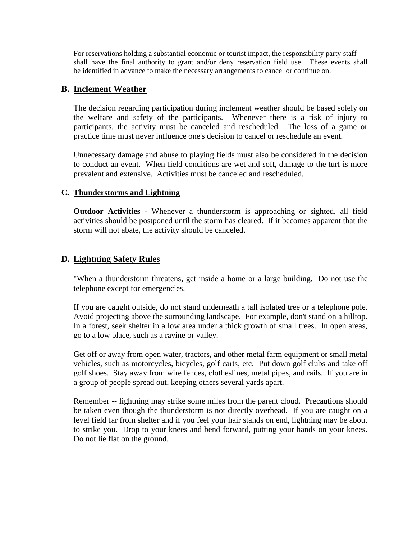For reservations holding a substantial economic or tourist impact, the responsibility party staff shall have the final authority to grant and/or deny reservation field use. These events shall be identified in advance to make the necessary arrangements to cancel or continue on.

## **B. Inclement Weather**

The decision regarding participation during inclement weather should be based solely on the welfare and safety of the participants. Whenever there is a risk of injury to participants, the activity must be canceled and rescheduled. The loss of a game or practice time must never influence one's decision to cancel or reschedule an event.

Unnecessary damage and abuse to playing fields must also be considered in the decision to conduct an event. When field conditions are wet and soft, damage to the turf is more prevalent and extensive. Activities must be canceled and rescheduled.

## **C. Thunderstorms and Lightning**

**Outdoor Activities** - Whenever a thunderstorm is approaching or sighted, all field activities should be postponed until the storm has cleared. If it becomes apparent that the storm will not abate, the activity should be canceled.

## **D. Lightning Safety Rules**

"When a thunderstorm threatens, get inside a home or a large building. Do not use the telephone except for emergencies.

If you are caught outside, do not stand underneath a tall isolated tree or a telephone pole. Avoid projecting above the surrounding landscape. For example, don't stand on a hilltop. In a forest, seek shelter in a low area under a thick growth of small trees. In open areas, go to a low place, such as a ravine or valley.

Get off or away from open water, tractors, and other metal farm equipment or small metal vehicles, such as motorcycles, bicycles, golf carts, etc. Put down golf clubs and take off golf shoes. Stay away from wire fences, clotheslines, metal pipes, and rails. If you are in a group of people spread out, keeping others several yards apart.

Remember -- lightning may strike some miles from the parent cloud. Precautions should be taken even though the thunderstorm is not directly overhead. If you are caught on a level field far from shelter and if you feel your hair stands on end, lightning may be about to strike you. Drop to your knees and bend forward, putting your hands on your knees. Do not lie flat on the ground.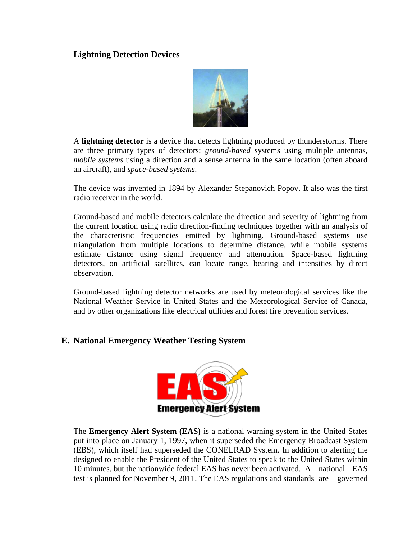## **Lightning Detection Devices**



A **lightning detector** is a device that detects lightning produced by [thunderstorms.](http://en.wikipedia.org/wiki/Thunderstorm) There are three primary types of detectors: *ground-based* systems using multiple antennas, *mobile systems* using a direction and a sense antenna in the same location (often aboard an aircraft), and *space-based systems*.

The device was invented in [1894](http://en.wikipedia.org/wiki/1894) by [Alexander Stepanovich Popov.](http://en.wikipedia.org/wiki/Alexander_Stepanovich_Popov) It also was the first [radio receiver](http://en.wikipedia.org/wiki/Receiver_(radio)) in the world.

Ground-based and mobile detectors calculate the direction and severity of [lightning](http://en.wikipedia.org/wiki/Lightning) from the current location using radio direction-finding techniques together with an analysis of the characteristic frequencies emitted by lightning. Ground-based systems use [triangulation](http://en.wikipedia.org/wiki/Triangulation) from multiple locations to determine distance, while mobile systems estimate distance using signal frequency and [attenuation.](http://en.wikipedia.org/wiki/Attenuation) Space-based lightning detectors, on [artificial satellites,](http://en.wikipedia.org/wiki/Artificial_satellite) can locate range, bearing and intensities by direct observation.

Ground-based lightning detector networks are used by meteorological services like the [National Weather Service](http://en.wikipedia.org/wiki/National_Weather_Service) in [United States](http://en.wikipedia.org/wiki/United_States) and the [Meteorological Service of Canada,](http://en.wikipedia.org/wiki/Meteorological_Service_of_Canada) and by other organizations like electrical utilities and forest fire prevention services.

## **E. National Emergency Weather Testing System**



The **Emergency Alert System (EAS)** is a national warning system in the [United States](http://en.wikipedia.org/wiki/United_States) put into place on January 1, 1997, when it superseded the [Emergency Broadcast System](http://en.wikipedia.org/wiki/Emergency_Broadcast_System) (EBS), which itself had superseded the [CONELRAD System.](http://en.wikipedia.org/wiki/Conelrad) In addition to alerting the designed to enable the [President of the United States](http://en.wikipedia.org/wiki/President_of_the_United_States) to speak to the United States within 10 minutes, but the nationwide federal EAS has never been activated. A national EAS test is planned for November 9, 2011. The EAS regulations and standards are governed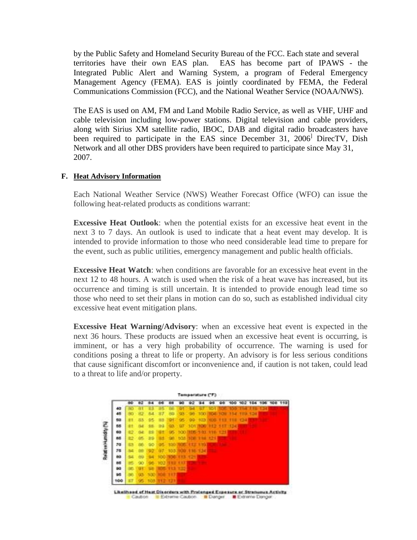by the Public Safety and Homeland Security Bureau of the FCC. Each state and several territories have their own EAS plan. EAS has become part of [IPAWS](http://en.wikipedia.org/wiki/IPAWS) - the Integrated Public Alert and Warning System, a program of [Federal Emergency](http://en.wikipedia.org/wiki/Federal_Emergency_Management_Agency)  [Management Agency](http://en.wikipedia.org/wiki/Federal_Emergency_Management_Agency) (FEMA). EAS is jointly coordinated by FEMA, the [Federal](http://en.wikipedia.org/wiki/Federal_Communications_Commission)  [Communications Commission](http://en.wikipedia.org/wiki/Federal_Communications_Commission) (FCC), and the [National Weather Service](http://en.wikipedia.org/wiki/National_Weather_Service) (NOAA/NWS).

The EAS is used on [AM,](http://en.wikipedia.org/wiki/AM_broadcasting) [FM](http://en.wikipedia.org/wiki/FM_broadcasting) and [Land Mobile Radio Service,](http://en.wikipedia.org/wiki/Land_Mobile_Radio_Service) as well as [VHF,](http://en.wikipedia.org/wiki/VHF) [UHF](http://en.wikipedia.org/wiki/Ultra_high_frequency) and [cable](http://en.wikipedia.org/wiki/Cable_television) [television](http://en.wikipedia.org/wiki/Television) including low-power stations. [Digital television](http://en.wikipedia.org/wiki/Digital_television) and [cable](http://en.wikipedia.org/wiki/Digital_cable) providers, along with [Sirius](http://en.wikipedia.org/wiki/Sirius_Satellite_Radio) [XM](http://en.wikipedia.org/wiki/XM_Satellite_Radio) satellite radio, [IBOC,](http://en.wikipedia.org/wiki/IBOC) [DAB](http://en.wikipedia.org/wiki/Digital_audio_broadcasting) and [digital radio](http://en.wikipedia.org/wiki/Digital_radio) broadcasters have been required to participate in the EAS since December 31, 2006<sup>]</sup> [DirecTV,](http://en.wikipedia.org/wiki/DirecTV) Dish [Network](http://en.wikipedia.org/wiki/Dish_Network) and all other [DBS](http://en.wikipedia.org/wiki/Direct_Broadcast_Satellite) providers have been required to participate since May 31, 2007.

#### **F. Heat Advisory Information**

Each National Weather Service (NWS) Weather Forecast Office (WFO) can issue the following heat-related products as conditions warrant:

**Excessive Heat Outlook**: when the potential exists for an excessive heat event in the next 3 to 7 days. An outlook is used to indicate that a heat event may develop. It is intended to provide information to those who need considerable lead time to prepare for the event, such as public utilities, emergency management and public health officials.

**Excessive Heat Watch**: when conditions are favorable for an excessive heat event in the next 12 to 48 hours. A watch is used when the risk of a heat wave has increased, but its occurrence and timing is still uncertain. It is intended to provide enough lead time so those who need to set their plans in motion can do so, such as established individual city excessive heat event mitigation plans.

**Excessive Heat Warning/Advisory**: when an excessive heat event is expected in the next 36 hours. These products are issued when an excessive heat event is occurring, is imminent, or has a very high probability of occurrence. The warning is used for conditions posing a threat to life or property. An advisory is for less serious conditions that cause significant discomfort or inconvenience and, if caution is not taken, could lead to a threat to life and/or property.

|     | 虵   | 62  | $- 84$ | ■●          | 看護                          |     |         |            |                | 90 92 94 96 98 100 102 104 106 108 113 |  |  |  |
|-----|-----|-----|--------|-------------|-----------------------------|-----|---------|------------|----------------|----------------------------------------|--|--|--|
| 43  |     |     |        | 85          |                             |     |         | <b>SOT</b> |                |                                        |  |  |  |
| 48  |     |     | 54     |             |                             |     |         |            |                |                                        |  |  |  |
| 50  |     |     |        |             |                             |     |         |            |                |                                        |  |  |  |
| 55  | 81. |     |        |             | 1201                        | 101 |         |            |                |                                        |  |  |  |
| 6à  |     |     |        |             |                             |     |         |            | <b>NTR-121</b> |                                        |  |  |  |
| 略   | 82  |     |        |             |                             |     |         |            |                |                                        |  |  |  |
| 70  |     |     |        |             |                             |     |         |            |                |                                        |  |  |  |
| 75  |     |     |        |             |                             |     | 10-1243 |            |                |                                        |  |  |  |
| вa  |     |     |        | M.          |                             |     |         |            |                |                                        |  |  |  |
| 藤原  |     | жo  |        | <b>NOVA</b> |                             |     |         |            |                |                                        |  |  |  |
| 90  | m   | u t |        |             |                             |     |         |            |                |                                        |  |  |  |
| 96  |     |     |        |             |                             |     |         |            |                |                                        |  |  |  |
| 100 | EF  |     |        |             | TOTAL TELEVISION CONTINUES. |     |         |            |                |                                        |  |  |  |

Likelihaad of Heat Disorders with Protenged Expesure or Stressous Activity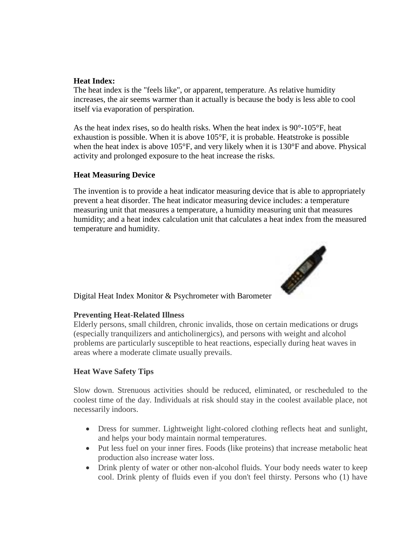## **Heat Index:**

The heat index is the "feels like", or apparent, temperature. As relative humidity increases, the air seems warmer than it actually is because the body is less able to cool itself via evaporation of perspiration.

As the heat index rises, so do health risks. When the heat index is  $90^{\circ}$ -105 $^{\circ}$ F, heat exhaustion is possible. When it is above 105°F, it is probable. Heatstroke is possible when the heat index is above 105°F, and very likely when it is 130°F and above. Physical activity and prolonged exposure to the heat increase the risks.

## **Heat Measuring Device**

The invention is to provide a heat indicator measuring device that is able to appropriately prevent a heat disorder. The heat indicator measuring device includes: a temperature measuring unit that measures a temperature, a humidity measuring unit that measures humidity; and a heat index calculation unit that calculates a heat index from the measured temperature and humidity.



Digital Heat Index Monitor & Psychrometer with Barometer

## **Preventing Heat-Related Illness**

Elderly persons, small children, chronic invalids, those on certain medications or drugs (especially tranquilizers and anticholinergics), and persons with weight and alcohol problems are particularly susceptible to heat reactions, especially during heat waves in areas where a moderate climate usually prevails.

## **Heat Wave Safety Tips**

Slow down. Strenuous activities should be reduced, eliminated, or rescheduled to the coolest time of the day. Individuals at risk should stay in the coolest available place, not necessarily indoors.

- Dress for summer. Lightweight light-colored clothing reflects heat and sunlight, and helps your body maintain normal temperatures.
- Put less fuel on your inner fires. Foods (like proteins) that increase metabolic heat production also increase water loss.
- Drink plenty of water or other non-alcohol fluids. Your body needs water to keep cool. Drink plenty of fluids even if you don't feel thirsty. Persons who (1) have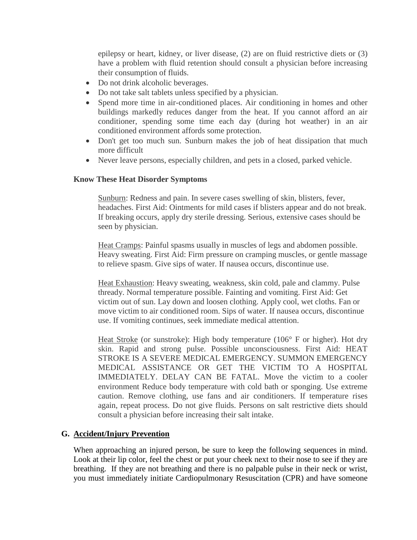epilepsy or heart, kidney, or liver disease, (2) are on fluid restrictive diets or (3) have a problem with fluid retention should consult a physician before increasing their consumption of fluids.

- Do not drink alcoholic beverages.
- Do not take salt tablets unless specified by a physician.
- Spend more time in air-conditioned places. Air conditioning in homes and other buildings markedly reduces danger from the heat. If you cannot afford an air conditioner, spending some time each day (during hot weather) in an air conditioned environment affords some protection.
- Don't get too much sun. Sunburn makes the job of heat dissipation that much more difficult
- Never leave persons, especially children, and pets in a closed, parked vehicle.

#### **Know These Heat Disorder Symptoms**

Sunburn: Redness and pain. In severe cases swelling of skin, blisters, fever, headaches. First Aid: Ointments for mild cases if blisters appear and do not break. If breaking occurs, apply dry sterile dressing. Serious, extensive cases should be seen by physician.

Heat Cramps: Painful spasms usually in muscles of legs and abdomen possible. Heavy sweating. First Aid: Firm pressure on cramping muscles, or gentle massage to relieve spasm. Give sips of water. If nausea occurs, discontinue use.

Heat Exhaustion: Heavy sweating, weakness, skin cold, pale and clammy. Pulse thready. Normal temperature possible. Fainting and vomiting. First Aid: Get victim out of sun. Lay down and loosen clothing. Apply cool, wet cloths. Fan or move victim to air conditioned room. Sips of water. If nausea occurs, discontinue use. If vomiting continues, seek immediate medical attention.

Heat Stroke (or sunstroke): High body temperature (106° F or higher). Hot dry skin. Rapid and strong pulse. Possible unconsciousness. First Aid: HEAT STROKE IS A SEVERE MEDICAL EMERGENCY. SUMMON EMERGENCY MEDICAL ASSISTANCE OR GET THE VICTIM TO A HOSPITAL IMMEDIATELY. DELAY CAN BE FATAL. Move the victim to a cooler environment Reduce body temperature with cold bath or sponging. Use extreme caution. Remove clothing, use fans and air conditioners. If temperature rises again, repeat process. Do not give fluids. Persons on salt restrictive diets should consult a physician before increasing their salt intake.

## **G. Accident/Injury Prevention**

When approaching an injured person, be sure to keep the following sequences in mind. Look at their lip color, feel the chest or put your cheek next to their nose to see if they are breathing. If they are not breathing and there is no palpable pulse in their neck or wrist, you must immediately initiate Cardiopulmonary Resuscitation (CPR) and have someone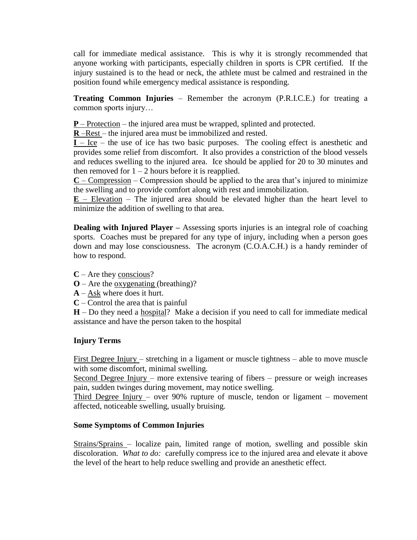call for immediate medical assistance. This is why it is strongly recommended that anyone working with participants, especially children in sports is CPR certified. If the injury sustained is to the head or neck, the athlete must be calmed and restrained in the position found while emergency medical assistance is responding.

**Treating Common Injuries** – Remember the acronym (P.R.I.C.E.) for treating a common sports injury…

**P** – Protection – the injured area must be wrapped, splinted and protected.

**R** –Rest – the injured area must be immobilized and rested.

**I** – Ice – the use of ice has two basic purposes. The cooling effect is anesthetic and provides some relief from discomfort. It also provides a constriction of the blood vessels and reduces swelling to the injured area. Ice should be applied for 20 to 30 minutes and then removed for  $1 - 2$  hours before it is reapplied.

**C** – Compression – Compression should be applied to the area that's injured to minimize the swelling and to provide comfort along with rest and immobilization.

**E** – Elevation – The injured area should be elevated higher than the heart level to minimize the addition of swelling to that area.

**Dealing with Injured Player –** Assessing sports injuries is an integral role of coaching sports. Coaches must be prepared for any type of injury, including when a person goes down and may lose consciousness. The acronym (C.O.A.C.H.) is a handy reminder of how to respond.

 $C -$  Are they conscious?

- **O** Are the oxygenating (breathing)?
- **A** Ask where does it hurt.
- $C$  Control the area that is painful

**H** – Do they need a hospital? Make a decision if you need to call for immediate medical assistance and have the person taken to the hospital

## **Injury Terms**

First Degree Injury – stretching in a ligament or muscle tightness – able to move muscle with some discomfort, minimal swelling.

Second Degree Injury – more extensive tearing of fibers – pressure or weigh increases pain, sudden twinges during movement, may notice swelling.

Third Degree Injury – over 90% rupture of muscle, tendon or ligament – movement affected, noticeable swelling, usually bruising.

## **Some Symptoms of Common Injuries**

Strains/Sprains – localize pain, limited range of motion, swelling and possible skin discoloration. *What to do:* carefully compress ice to the injured area and elevate it above the level of the heart to help reduce swelling and provide an anesthetic effect.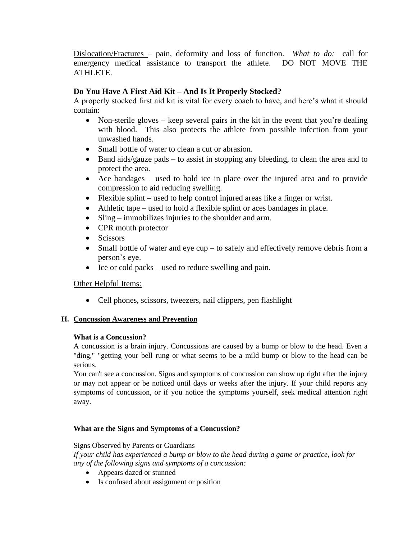Dislocation/Fractures – pain, deformity and loss of function. *What to do:* call for emergency medical assistance to transport the athlete. DO NOT MOVE THE ATHLETE.

## **Do You Have A First Aid Kit – And Is It Properly Stocked?**

A properly stocked first aid kit is vital for every coach to have, and here's what it should contain:

- Non-sterile gloves keep several pairs in the kit in the event that you're dealing with blood. This also protects the athlete from possible infection from your unwashed hands.
- Small bottle of water to clean a cut or abrasion.
- $\bullet$  Band aids/gauze pads to assist in stopping any bleeding, to clean the area and to protect the area.
- Ace bandages used to hold ice in place over the injured area and to provide compression to aid reducing swelling.
- Flexible splint used to help control injured areas like a finger or wrist.
- Athletic tape used to hold a flexible splint or aces bandages in place.
- Sling immobilizes injuries to the shoulder and arm.
- CPR mouth protector
- Scissors
- Small bottle of water and eye  $cup -$  to safely and effectively remove debris from a person's eye.
- $\bullet$  Ice or cold packs used to reduce swelling and pain.

## Other Helpful Items:

• Cell phones, scissors, tweezers, nail clippers, pen flashlight

## **H. Concussion Awareness and Prevention**

#### **What is a Concussion?**

A concussion is a brain injury. Concussions are caused by a bump or blow to the head. Even a "ding," "getting your bell rung or what seems to be a mild bump or blow to the head can be serious.

You can't see a concussion. Signs and symptoms of concussion can show up right after the injury or may not appear or be noticed until days or weeks after the injury. If your child reports any symptoms of concussion, or if you notice the symptoms yourself, seek medical attention right away.

#### **What are the Signs and Symptoms of a Concussion?**

#### Signs Observed by Parents or Guardians

*If your child has experienced a bump or blow to the head during a game or practice, look for any of the following signs and symptoms of a concussion:* 

- Appears dazed or stunned
- Is confused about assignment or position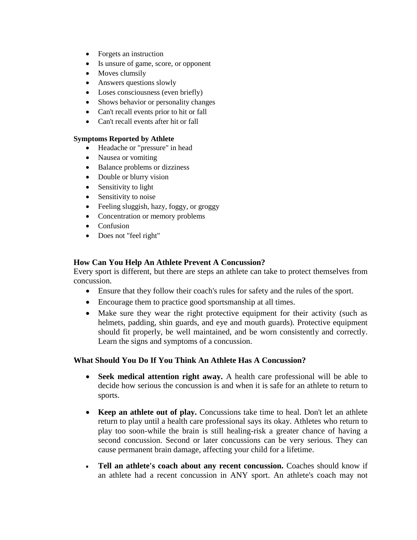- Forgets an instruction
- Is unsure of game, score, or opponent
- Moves clumsily
- Answers questions slowly
- Loses consciousness (even briefly)
- Shows behavior or personality changes
- Can't recall events prior to hit or fall
- Can't recall events after hit or fall

#### **Symptoms Reported by Athlete**

- Headache or "pressure" in head
- Nausea or vomiting
- Balance problems or dizziness
- Double or blurry vision
- Sensitivity to light
- Sensitivity to noise
- Feeling sluggish, hazy, foggy, or groggy
- Concentration or memory problems
- Confusion
- Does not "feel right"

## **How Can You Help An Athlete Prevent A Concussion?**

Every sport is different, but there are steps an athlete can take to protect themselves from concussion.

- Ensure that they follow their coach's rules for safety and the rules of the sport.
- Encourage them to practice good sportsmanship at all times.
- Make sure they wear the right protective equipment for their activity (such as helmets, padding, shin guards, and eye and mouth guards). Protective equipment should fit properly, be well maintained, and be worn consistently and correctly. Learn the signs and symptoms of a concussion.

## **What Should You Do If You Think An Athlete Has A Concussion?**

- **Seek medical attention right away.** A health care professional will be able to decide how serious the concussion is and when it is safe for an athlete to return to sports.
- **Keep an athlete out of play.** Concussions take time to heal. Don't let an athlete return to play until a health care professional says its okay. Athletes who return to play too soon-while the brain is still healing-risk a greater chance of having a second concussion. Second or later concussions can be very serious. They can cause permanent brain damage, affecting your child for a lifetime.
- Tell an athlete's coach about any recent concussion. Coaches should know if an athlete had a recent concussion in ANY sport. An athlete's coach may not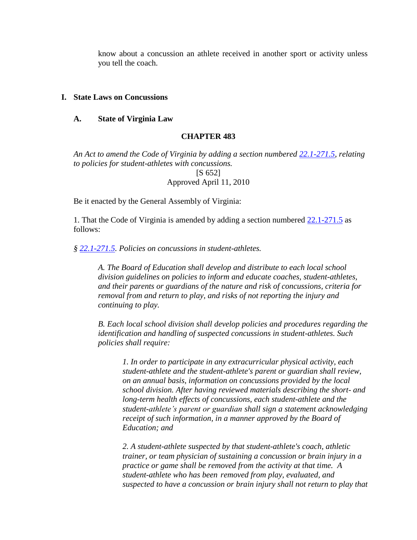know about a concussion an athlete received in another sport or activity unless you tell the coach.

#### **I. State Laws on Concussions**

#### **A. State of Virginia Law**

#### **CHAPTER 483**

*An Act to amend the Code of Virginia by adding a section numbered [22.1-271.5,](http://leg1.state.va.us/cgi-bin/legp504.exe?000+cod+22.1-271.5) relating to policies for student-athletes with concussions.*

## [S 652] Approved April 11, 2010

Be it enacted by the General Assembly of Virginia:

1. That the Code of Virginia is amended by adding a section numbered [22.1-271.5](http://leg1.state.va.us/cgi-bin/legp504.exe?000+cod+22.1-271.5) as follows:

*§ [22.1-271.5.](http://leg1.state.va.us/cgi-bin/legp504.exe?000+cod+22.1-271.5) Policies on concussions in student-athletes.*

*A. The Board of Education shall develop and distribute to each local school division guidelines on policies to inform and educate coaches, student-athletes, and their parents or guardians of the nature and risk of concussions, criteria for removal from and return to play, and risks of not reporting the injury and continuing to play.* 

*B. Each local school division shall develop policies and procedures regarding the identification and handling of suspected concussions in student-athletes. Such policies shall require:* 

*1. In order to participate in any extracurricular physical activity, each student-athlete and the student-athlete's parent or guardian shall review, on an annual basis, information on concussions provided by the local school division. After having reviewed materials describing the short- and long-term health effects of concussions, each student-athlete and the student-athlete's parent or guardian shall sign a statement acknowledging receipt of such information, in a manner approved by the Board of Education; and*

*2. A student-athlete suspected by that student-athlete's coach, athletic trainer, or team physician of sustaining a concussion or brain injury in a practice or game shall be removed from the activity at that time. A student-athlete who has been removed from play, evaluated, and suspected to have a concussion or brain injury shall not return to play that*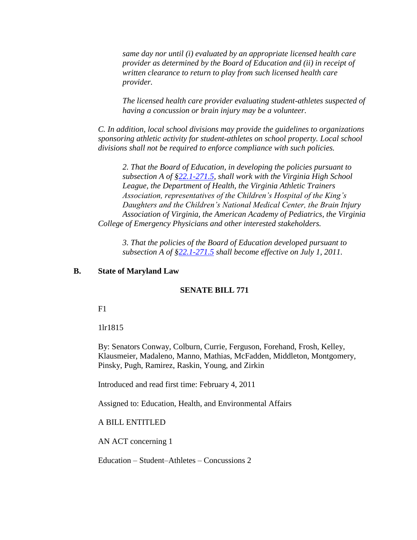*same day nor until (i) evaluated by an appropriate licensed health care provider as determined by the Board of Education and (ii) in receipt of written clearance to return to play from such licensed health care provider.*

*The licensed health care provider evaluating student-athletes suspected of having a concussion or brain injury may be a volunteer.* 

*C. In addition, local school divisions may provide the guidelines to organizations sponsoring athletic activity for student-athletes on school property. Local school divisions shall not be required to enforce compliance with such policies.* 

*2. That the Board of Education, in developing the policies pursuant to subsection A of [§22.1-271.5,](http://leg1.state.va.us/cgi-bin/legp504.exe?000+cod+22.1-271.5) shall work with the Virginia High School League, the Department of Health, the Virginia Athletic Trainers Association, representatives of the Children's Hospital of the King's Daughters and the Children's National Medical Center, the Brain Injury Association of Virginia, the American Academy of Pediatrics, the Virginia College of Emergency Physicians and other interested stakeholders.*

*3. That the policies of the Board of Education developed pursuant to subsection A of [§22.1-271.5](http://leg1.state.va.us/cgi-bin/legp504.exe?000+cod+22.1-271.5) shall become effective on July 1, 2011.*

#### **B. State of Maryland Law**

#### **SENATE BILL 771**

 $F1$ 

1lr1815

By: Senators Conway, Colburn, Currie, Ferguson, Forehand, Frosh, Kelley, Klausmeier, Madaleno, Manno, Mathias, McFadden, Middleton, Montgomery, Pinsky, Pugh, Ramirez, Raskin, Young, and Zirkin

Introduced and read first time: February 4, 2011

Assigned to: Education, Health, and Environmental Affairs

#### A BILL ENTITLED

AN ACT concerning 1

Education – Student–Athletes – Concussions 2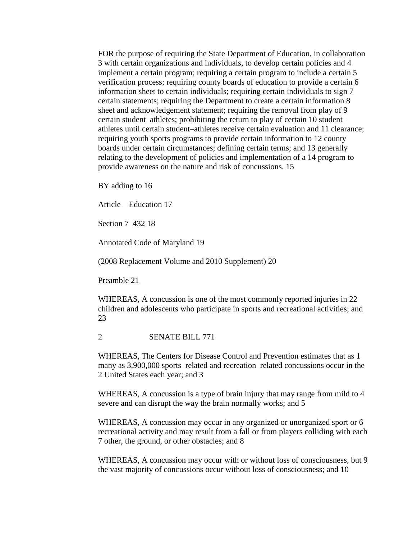FOR the purpose of requiring the State Department of Education, in collaboration 3 with certain organizations and individuals, to develop certain policies and 4 implement a certain program; requiring a certain program to include a certain 5 verification process; requiring county boards of education to provide a certain 6 information sheet to certain individuals; requiring certain individuals to sign 7 certain statements; requiring the Department to create a certain information 8 sheet and acknowledgement statement; requiring the removal from play of 9 certain student–athletes; prohibiting the return to play of certain 10 student– athletes until certain student–athletes receive certain evaluation and 11 clearance; requiring youth sports programs to provide certain information to 12 county boards under certain circumstances; defining certain terms; and 13 generally relating to the development of policies and implementation of a 14 program to provide awareness on the nature and risk of concussions. 15

BY adding to 16

Article – Education 17

Section 7–432 18

Annotated Code of Maryland 19

(2008 Replacement Volume and 2010 Supplement) 20

Preamble 21

WHEREAS, A concussion is one of the most commonly reported injuries in 22 children and adolescents who participate in sports and recreational activities; and 23

## 2 SENATE BILL 771

WHEREAS, The Centers for Disease Control and Prevention estimates that as 1 many as 3,900,000 sports–related and recreation–related concussions occur in the 2 United States each year; and 3

WHEREAS, A concussion is a type of brain injury that may range from mild to 4 severe and can disrupt the way the brain normally works; and 5

WHEREAS, A concussion may occur in any organized or unorganized sport or 6 recreational activity and may result from a fall or from players colliding with each 7 other, the ground, or other obstacles; and 8

WHEREAS, A concussion may occur with or without loss of consciousness, but 9 the vast majority of concussions occur without loss of consciousness; and 10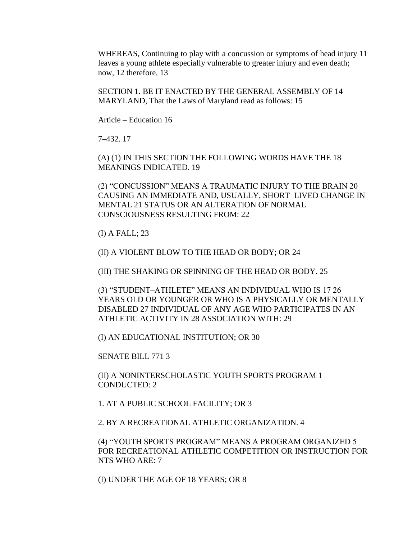WHEREAS, Continuing to play with a concussion or symptoms of head injury 11 leaves a young athlete especially vulnerable to greater injury and even death; now, 12 therefore, 13

SECTION 1. BE IT ENACTED BY THE GENERAL ASSEMBLY OF 14 MARYLAND, That the Laws of Maryland read as follows: 15

Article – Education 16

7–432. 17

(A) (1) IN THIS SECTION THE FOLLOWING WORDS HAVE THE 18 MEANINGS INDICATED. 19

(2) "CONCUSSION" MEANS A TRAUMATIC INJURY TO THE BRAIN 20 CAUSING AN IMMEDIATE AND, USUALLY, SHORT–LIVED CHANGE IN MENTAL 21 STATUS OR AN ALTERATION OF NORMAL CONSCIOUSNESS RESULTING FROM: 22

(I) A FALL; 23

(II) A VIOLENT BLOW TO THE HEAD OR BODY; OR 24

(III) THE SHAKING OR SPINNING OF THE HEAD OR BODY. 25

(3) "STUDENT–ATHLETE" MEANS AN INDIVIDUAL WHO IS 17 26 YEARS OLD OR YOUNGER OR WHO IS A PHYSICALLY OR MENTALLY DISABLED 27 INDIVIDUAL OF ANY AGE WHO PARTICIPATES IN AN ATHLETIC ACTIVITY IN 28 ASSOCIATION WITH: 29

(I) AN EDUCATIONAL INSTITUTION; OR 30

SENATE BILL 771 3

(II) A NONINTERSCHOLASTIC YOUTH SPORTS PROGRAM 1 CONDUCTED: 2

1. AT A PUBLIC SCHOOL FACILITY; OR 3

2. BY A RECREATIONAL ATHLETIC ORGANIZATION. 4

(4) "YOUTH SPORTS PROGRAM" MEANS A PROGRAM ORGANIZED 5 FOR RECREATIONAL ATHLETIC COMPETITION OR INSTRUCTION FOR NTS WHO ARE: 7

(I) UNDER THE AGE OF 18 YEARS; OR 8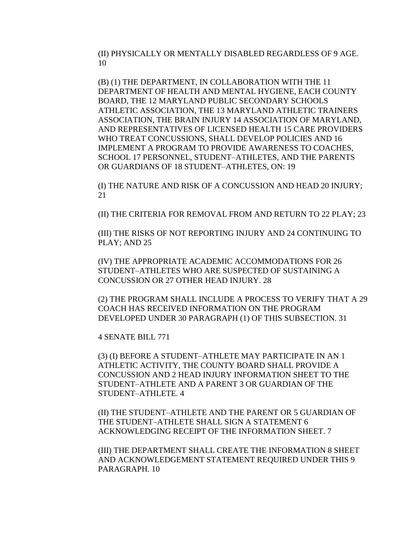(II) PHYSICALLY OR MENTALLY DISABLED REGARDLESS OF 9 AGE. 10

(B) (1) THE DEPARTMENT, IN COLLABORATION WITH THE 11 DEPARTMENT OF HEALTH AND MENTAL HYGIENE, EACH COUNTY BOARD, THE 12 MARYLAND PUBLIC SECONDARY SCHOOLS ATHLETIC ASSOCIATION, THE 13 MARYLAND ATHLETIC TRAINERS ASSOCIATION, THE BRAIN INJURY 14 ASSOCIATION OF MARYLAND, AND REPRESENTATIVES OF LICENSED HEALTH 15 CARE PROVIDERS WHO TREAT CONCUSSIONS, SHALL DEVELOP POLICIES AND 16 IMPLEMENT A PROGRAM TO PROVIDE AWARENESS TO COACHES, SCHOOL 17 PERSONNEL, STUDENT–ATHLETES, AND THE PARENTS OR GUARDIANS OF 18 STUDENT–ATHLETES, ON: 19

(I) THE NATURE AND RISK OF A CONCUSSION AND HEAD 20 INJURY; 21

(II) THE CRITERIA FOR REMOVAL FROM AND RETURN TO 22 PLAY; 23

(III) THE RISKS OF NOT REPORTING INJURY AND 24 CONTINUING TO PLAY; AND 25

(IV) THE APPROPRIATE ACADEMIC ACCOMMODATIONS FOR 26 STUDENT–ATHLETES WHO ARE SUSPECTED OF SUSTAINING A CONCUSSION OR 27 OTHER HEAD INJURY. 28

(2) THE PROGRAM SHALL INCLUDE A PROCESS TO VERIFY THAT A 29 COACH HAS RECEIVED INFORMATION ON THE PROGRAM DEVELOPED UNDER 30 PARAGRAPH (1) OF THIS SUBSECTION. 31

4 SENATE BILL 771

(3) (I) BEFORE A STUDENT–ATHLETE MAY PARTICIPATE IN AN 1 ATHLETIC ACTIVITY, THE COUNTY BOARD SHALL PROVIDE A CONCUSSION AND 2 HEAD INJURY INFORMATION SHEET TO THE STUDENT–ATHLETE AND A PARENT 3 OR GUARDIAN OF THE STUDENT–ATHLETE. 4

(II) THE STUDENT–ATHLETE AND THE PARENT OR 5 GUARDIAN OF THE STUDENT–ATHLETE SHALL SIGN A STATEMENT 6 ACKNOWLEDGING RECEIPT OF THE INFORMATION SHEET. 7

(III) THE DEPARTMENT SHALL CREATE THE INFORMATION 8 SHEET AND ACKNOWLEDGEMENT STATEMENT REQUIRED UNDER THIS 9 PARAGRAPH. 10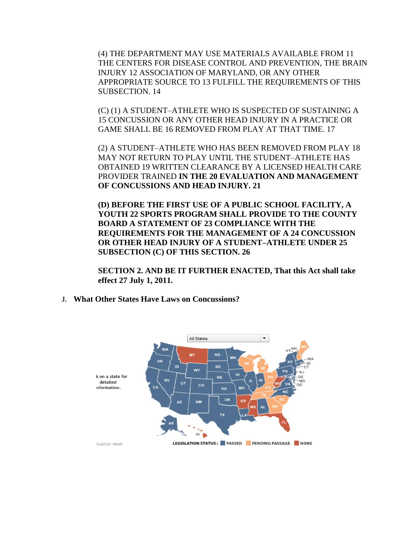(4) THE DEPARTMENT MAY USE MATERIALS AVAILABLE FROM 11 THE CENTERS FOR DISEASE CONTROL AND PREVENTION, THE BRAIN INJURY 12 ASSOCIATION OF MARYLAND, OR ANY OTHER APPROPRIATE SOURCE TO 13 FULFILL THE REQUIREMENTS OF THIS SUBSECTION. 14

(C) (1) A STUDENT–ATHLETE WHO IS SUSPECTED OF SUSTAINING A 15 CONCUSSION OR ANY OTHER HEAD INJURY IN A PRACTICE OR GAME SHALL BE 16 REMOVED FROM PLAY AT THAT TIME. 17

(2) A STUDENT–ATHLETE WHO HAS BEEN REMOVED FROM PLAY 18 MAY NOT RETURN TO PLAY UNTIL THE STUDENT–ATHLETE HAS OBTAINED 19 WRITTEN CLEARANCE BY A LICENSED HEALTH CARE PROVIDER TRAINED **IN THE 20 EVALUATION AND MANAGEMENT OF CONCUSSIONS AND HEAD INJURY. 21**

**(D) BEFORE THE FIRST USE OF A PUBLIC SCHOOL FACILITY, A YOUTH 22 SPORTS PROGRAM SHALL PROVIDE TO THE COUNTY BOARD A STATEMENT OF 23 COMPLIANCE WITH THE REQUIREMENTS FOR THE MANAGEMENT OF A 24 CONCUSSION OR OTHER HEAD INJURY OF A STUDENT–ATHLETE UNDER 25 SUBSECTION (C) OF THIS SECTION. 26**

**SECTION 2. AND BE IT FURTHER ENACTED, That this Act shall take effect 27 July 1, 2011.**

**J. What Other States Have Laws on Concussions?**

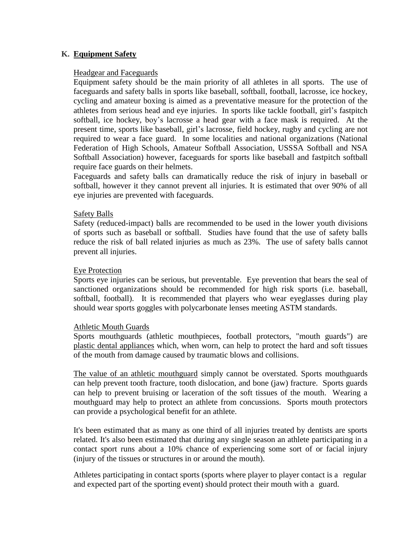## **K. Equipment Safety**

#### Headgear and Faceguards

Equipment safety should be the main priority of all athletes in all sports. The use of faceguards and safety balls in sports like baseball, softball, football, lacrosse, ice hockey, cycling and amateur boxing is aimed as a preventative measure for the protection of the athletes from serious head and eye injuries. In sports like tackle football, girl's fastpitch softball, ice hockey, boy's lacrosse a head gear with a face mask is required. At the present time, sports like baseball, girl's lacrosse, field hockey, rugby and cycling are not required to wear a face guard. In some localities and national organizations (National Federation of High Schools, Amateur Softball Association, USSSA Softball and NSA Softball Association) however, faceguards for sports like baseball and fastpitch softball require face guards on their helmets.

Faceguards and safety balls can dramatically reduce the risk of injury in baseball or softball, however it they cannot prevent all injuries. It is estimated that over 90% of all eye injuries are prevented with faceguards.

#### Safety Balls

Safety (reduced-impact) balls are recommended to be used in the lower youth divisions of sports such as baseball or softball. Studies have found that the use of safety balls reduce the risk of ball related injuries as much as 23%. The use of safety balls cannot prevent all injuries.

#### Eye Protection

Sports eye injuries can be serious, but preventable. Eye prevention that bears the seal of sanctioned organizations should be recommended for high risk sports (i.e. baseball, softball, football). It is recommended that players who wear eyeglasses during play should wear sports goggles with polycarbonate lenses meeting ASTM standards.

#### Athletic Mouth Guards

Sports mouthguards (athletic mouthpieces, football protectors, "mouth guards") are [plastic dental appliances](http://www.animated-teeth.com/mouthguards/a1-mouth-guards.htm#mouth.guards) which, when worn, can help to protect the hard and soft tissues of the mouth from damage caused by traumatic blows and collisions.

[The value of an athletic mouthguard](http://www.animated-teeth.com/mouthguards/a4-mouth-guards-costs.htm) simply cannot be overstated. Sports mouthguards can help prevent tooth fracture, tooth dislocation, and bone (jaw) fracture. Sports guards can help to prevent bruising or laceration of the soft tissues of the mouth. Wearing a mouthguard may help to protect an athlete from concussions. Sports mouth protectors can provide a psychological benefit for an athlete.

It's been estimated that as many as one third of all injuries treated by dentists are sports related. It's also been estimated that during any single season an athlete participating in a contact sport runs about a 10% chance of experiencing some sort of or facial injury (injury of the tissues or structures in or around the mouth).

Athletes participating in contact sports (sports where player to player contact is a regular and expected part of the sporting event) should protect their mouth with a guard.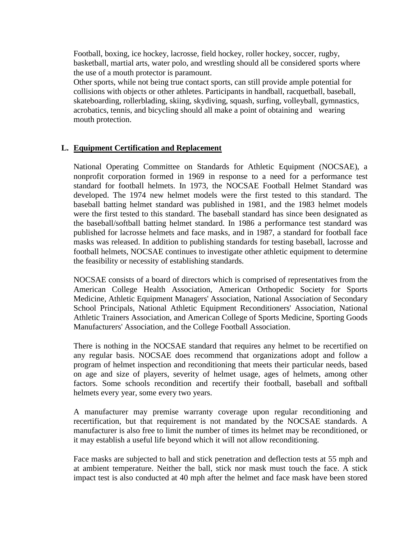Football, boxing, ice hockey, lacrosse, field hockey, roller hockey, soccer, rugby, basketball, martial arts, water polo, and wrestling should all be considered sports where the use of a mouth protector is paramount.

Other sports, while not being true contact sports, can still provide ample potential for collisions with objects or other athletes. Participants in handball, racquetball, baseball, skateboarding, rollerblading, skiing, skydiving, squash, surfing, volleyball, gymnastics, acrobatics, tennis, and bicycling should all make a point of obtaining and wearing mouth protection.

## **L. Equipment Certification and Replacement**

National Operating Committee on Standards for Athletic Equipment (NOCSAE), a nonprofit corporation formed in 1969 in response to a need for a performance test standard for football helmets. In 1973, the NOCSAE Football Helmet Standard was developed. The 1974 new helmet models were the first tested to this standard. The baseball batting helmet standard was published in 1981, and the 1983 helmet models were the first tested to this standard. The baseball standard has since been designated as the baseball/softball batting helmet standard. In 1986 a performance test standard was published for lacrosse helmets and face masks, and in 1987, a standard for football face masks was released. In addition to publishing standards for testing baseball, lacrosse and football helmets, NOCSAE continues to investigate other athletic equipment to determine the feasibility or necessity of establishing standards.

NOCSAE consists of a board of directors which is comprised of representatives from the American College Health Association, American Orthopedic Society for Sports Medicine, Athletic Equipment Managers' Association, National Association of Secondary School Principals, National Athletic Equipment Reconditioners' Association, National Athletic Trainers Association, and American College of Sports Medicine, Sporting Goods Manufacturers' Association, and the College Football Association.

There is nothing in the NOCSAE standard that requires any helmet to be recertified on any regular basis. NOCSAE does recommend that organizations adopt and follow a program of helmet inspection and reconditioning that meets their particular needs, based on age and size of players, severity of helmet usage, ages of helmets, among other factors. Some schools recondition and recertify their football, baseball and softball helmets every year, some every two years.

A manufacturer may premise warranty coverage upon regular reconditioning and recertification, but that requirement is not mandated by the NOCSAE standards. A manufacturer is also free to limit the number of times its helmet may be reconditioned, or it may establish a useful life beyond which it will not allow reconditioning.

Face masks are subjected to ball and stick penetration and deflection tests at 55 mph and at ambient temperature. Neither the ball, stick nor mask must touch the face. A stick impact test is also conducted at 40 mph after the helmet and face mask have been stored